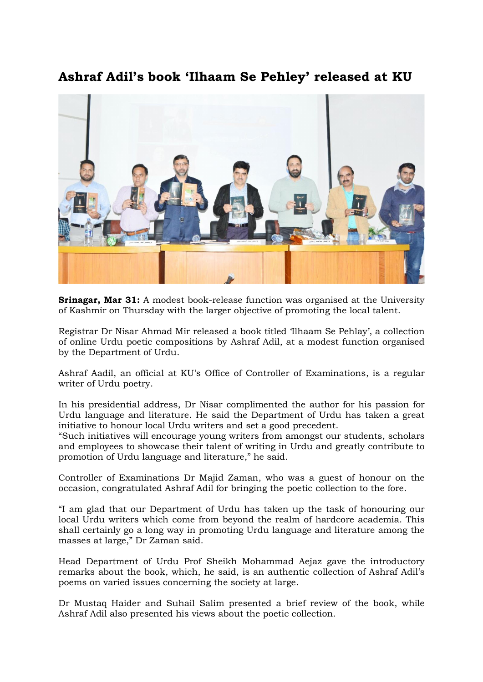## Ashraf Adil's book 'Ilhaam Se Pehley' released at KU



**Srinagar, Mar 31:** A modest book-release function was organised at the University of Kashmir on Thursday with the larger objective of promoting the local talent.

Registrar Dr Nisar Ahmad Mir released a book titled 'Ilhaam Se Pehlay', a collection of online Urdu poetic compositions by Ashraf Adil, at a modest function organised by the Department of Urdu.

Ashraf Aadil, an official at KU's Office of Controller of Examinations, is a regular writer of Urdu poetry.

In his presidential address, Dr Nisar complimented the author for his passion for Urdu language and literature. He said the Department of Urdu has taken a great initiative to honour local Urdu writers and set a good precedent.

"Such initiatives will encourage young writers from amongst our students, scholars and employees to showcase their talent of writing in Urdu and greatly contribute to promotion of Urdu language and literature," he said.

Controller of Examinations Dr Majid Zaman, who was a guest of honour on the occasion, congratulated Ashraf Adil for bringing the poetic collection to the fore.

"I am glad that our Department of Urdu has taken up the task of honouring our local Urdu writers which come from beyond the realm of hardcore academia. This shall certainly go a long way in promoting Urdu language and literature among the masses at large," Dr Zaman said.

Head Department of Urdu Prof Sheikh Mohammad Aejaz gave the introductory remarks about the book, which, he said, is an authentic collection of Ashraf Adil's poems on varied issues concerning the society at large.

Dr Mustaq Haider and Suhail Salim presented a brief review of the book, while Ashraf Adil also presented his views about the poetic collection.